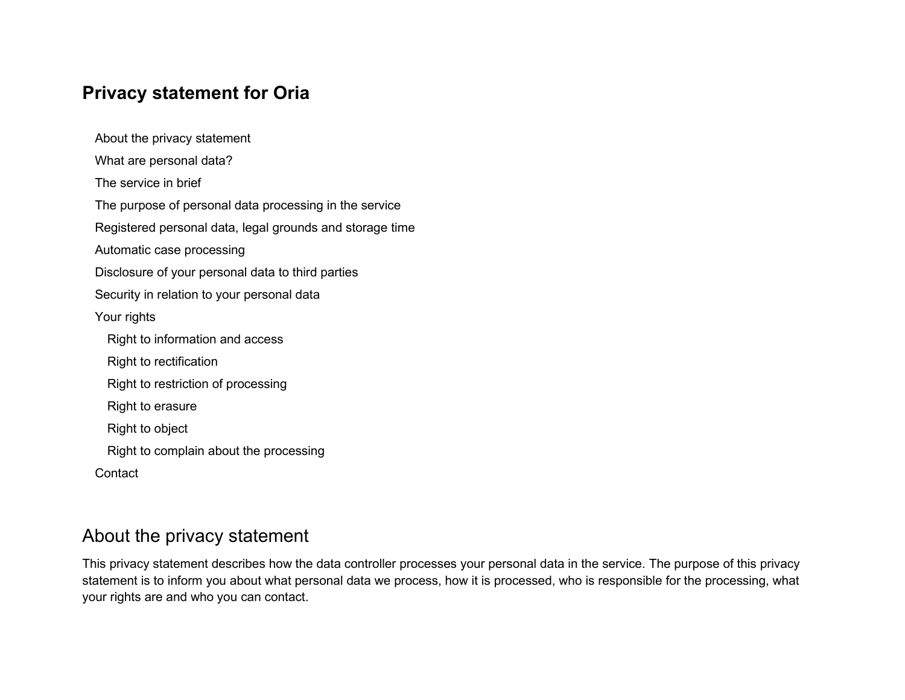# **Privacy statement for Oria**

[About the privacy statement](#page-0-0) [What are personal data?](#page-1-0) [The service in brief](#page-1-1) [The purpose of personal data processing in the service](#page-1-2) [Registered personal data, legal grounds and storage time](#page-2-0) [Automatic case processing](#page-5-0) [Disclosure of your personal data to third parties](#page-5-1) [Security in relation to your personal data](#page-6-0) [Your rights](#page-6-1) [Right to information and access](#page-6-2) [Right to rectification](#page-6-3) [Right to restriction of processing](#page-7-0) [Right to erasure](#page-7-1) [Right to object](#page-7-2) Right to [complain about the processing](#page-8-0) **[Contact](#page-8-1)** 

## <span id="page-0-0"></span>About the privacy statement

This privacy statement describes how the data controller processes your personal data in the service. The purpose of this privacy statement is to inform you about what personal data we process, how it is processed, who is responsible for the processing, what your rights are and who you can contact.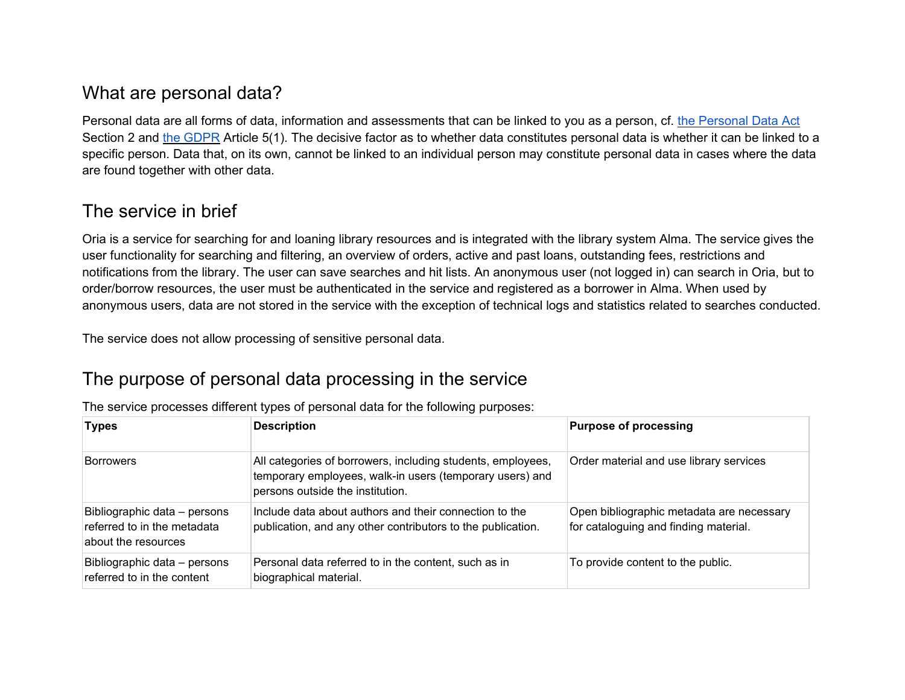# <span id="page-1-0"></span>What are personal data?

Personal data are all forms of data, information and assessments that can be linked to you as a person, cf. the Personal Data Act Section 2 and [the GDPR](https://lovdata.no/dokument/NL/lov/2018-06-15-38/*%23KAPITTEL_gdpr-1) Article 5(1). The decisive factor as to whether data constitutes personal data is whether it can be linked to a specific person. Data that, on its own, cannot be linked to an individual person may constitute personal data in cases where the data are found together with other data.

# <span id="page-1-1"></span>The service in brief

Oria is a service for searching for and loaning library resources and is integrated with the library system Alma. The service gives the user functionality for searching and filtering, an overview of orders, active and past loans, outstanding fees, restrictions and notifications from the library. The user can save searches and hit lists. An anonymous user (not logged in) can search in Oria, but to order/borrow resources, the user must be authenticated in the service and registered as a borrower in Alma. When used by anonymous users, data are not stored in the service with the exception of technical logs and statistics related to searches conducted.

<span id="page-1-2"></span>The service does not allow processing of sensitive personal data.

# The purpose of personal data processing in the service

| <b>Types</b>                                                                       | <b>Description</b>                                                                                                                                          | <b>Purpose of processing</b>                                                       |
|------------------------------------------------------------------------------------|-------------------------------------------------------------------------------------------------------------------------------------------------------------|------------------------------------------------------------------------------------|
| <b>Borrowers</b>                                                                   | All categories of borrowers, including students, employees,<br>temporary employees, walk-in users (temporary users) and<br>persons outside the institution. | Order material and use library services                                            |
| Bibliographic data - persons<br>referred to in the metadata<br>about the resources | Include data about authors and their connection to the<br>publication, and any other contributors to the publication.                                       | Open bibliographic metadata are necessary<br>for cataloguing and finding material. |
| Bibliographic data - persons<br>referred to in the content                         | Personal data referred to in the content, such as in<br>biographical material.                                                                              | To provide content to the public.                                                  |

The service processes different types of personal data for the following purposes: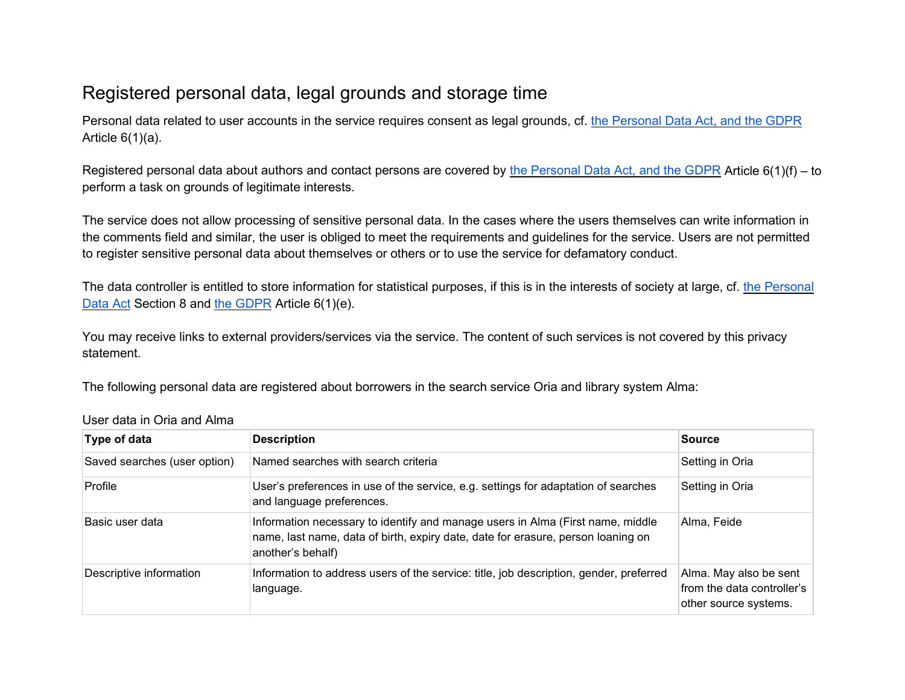# <span id="page-2-0"></span>Registered personal data, legal grounds and storage time

Personal data related to user accounts in the service requires consent as legal grounds, cf. [the Personal Data Act, and the GDPR](https://lovdata.no/dokument/NL/lov/2018-06-15-38/*%23KAPITTEL_gdpr-1) Article  $6(1)(a)$ .

Registered personal data about authors and contact persons are covered by [the Personal Data Act, and the GDPR](https://lovdata.no/dokument/NL/lov/2018-06-15-38/*%23KAPITTEL_gdpr-1) Article 6(1)(f) – to perform a task on grounds of legitimate interests.

The service does not allow processing of sensitive personal data. In the cases where the users themselves can write information in the comments field and similar, the user is obliged to meet the requirements and guidelines for the service. Users are not permitted to register sensitive personal data about themselves or others or to use the service for defamatory conduct.

The data controller is entitled to store information for statistical purposes, if this is in the interests of society at large, cf. the Personal [Data Act](https://lovdata.no/dokument/NL/lov/2018-06-15-38) Section 8 and [the GDPR](https://lovdata.no/dokument/NL/lov/2018-06-15-38/*%23KAPITTEL_gdpr-1) Article 6(1)(e).

You may receive links to external providers/services via the service. The content of such services is not covered by this privacy statement.

The following personal data are registered about borrowers in the search service Oria and library system Alma:

| Type of data                                                                                                                   | <b>Description</b>                                                                                                                                                                      | <b>Source</b>                                                                 |
|--------------------------------------------------------------------------------------------------------------------------------|-----------------------------------------------------------------------------------------------------------------------------------------------------------------------------------------|-------------------------------------------------------------------------------|
| Saved searches (user option)                                                                                                   | Named searches with search criteria                                                                                                                                                     | Setting in Oria                                                               |
| Profile                                                                                                                        | User's preferences in use of the service, e.g. settings for adaptation of searches<br>and language preferences.                                                                         | Setting in Oria                                                               |
| Basic user data                                                                                                                | Information necessary to identify and manage users in Alma (First name, middle<br>name, last name, data of birth, expiry date, date for erasure, person loaning on<br>another's behalf) | Alma, Feide                                                                   |
| Descriptive information<br>Information to address users of the service: title, job description, gender, preferred<br>language. |                                                                                                                                                                                         | Alma. May also be sent<br>from the data controller's<br>other source systems. |

User data in Oria and Alma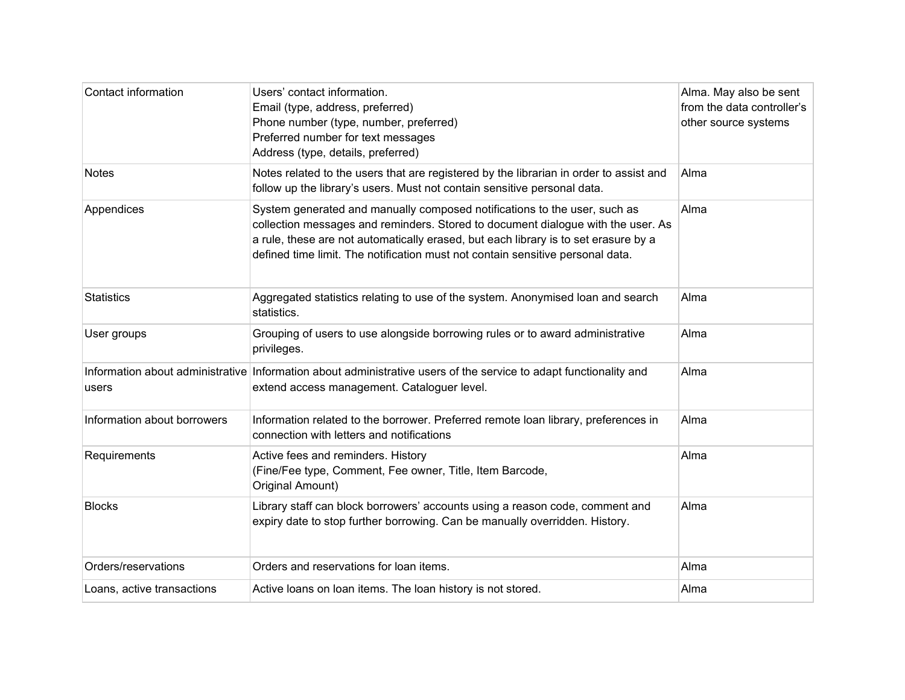| Contact information         | Users' contact information.<br>Email (type, address, preferred)<br>Phone number (type, number, preferred)<br>Preferred number for text messages<br>Address (type, details, preferred)                                                                                                                                                  | Alma. May also be sent<br>from the data controller's<br>other source systems |
|-----------------------------|----------------------------------------------------------------------------------------------------------------------------------------------------------------------------------------------------------------------------------------------------------------------------------------------------------------------------------------|------------------------------------------------------------------------------|
| <b>Notes</b>                | Notes related to the users that are registered by the librarian in order to assist and<br>follow up the library's users. Must not contain sensitive personal data.                                                                                                                                                                     | Alma                                                                         |
| Appendices                  | System generated and manually composed notifications to the user, such as<br>collection messages and reminders. Stored to document dialogue with the user. As<br>a rule, these are not automatically erased, but each library is to set erasure by a<br>defined time limit. The notification must not contain sensitive personal data. | Alma                                                                         |
| <b>Statistics</b>           | Aggregated statistics relating to use of the system. Anonymised loan and search<br>statistics.                                                                                                                                                                                                                                         | Alma                                                                         |
| User groups                 | Grouping of users to use alongside borrowing rules or to award administrative<br>privileges.                                                                                                                                                                                                                                           | Alma                                                                         |
| users                       | Information about administrative Information about administrative users of the service to adapt functionality and<br>extend access management. Cataloguer level.                                                                                                                                                                       | Alma                                                                         |
| Information about borrowers | Information related to the borrower. Preferred remote loan library, preferences in<br>connection with letters and notifications                                                                                                                                                                                                        | Alma                                                                         |
| Requirements                | Active fees and reminders. History<br>(Fine/Fee type, Comment, Fee owner, Title, Item Barcode,<br>Original Amount)                                                                                                                                                                                                                     | Alma                                                                         |
| <b>Blocks</b>               | Library staff can block borrowers' accounts using a reason code, comment and<br>expiry date to stop further borrowing. Can be manually overridden. History.                                                                                                                                                                            | Alma                                                                         |
| Orders/reservations         | Orders and reservations for loan items.                                                                                                                                                                                                                                                                                                | Alma                                                                         |
| Loans, active transactions  | Active loans on loan items. The loan history is not stored.                                                                                                                                                                                                                                                                            | Alma                                                                         |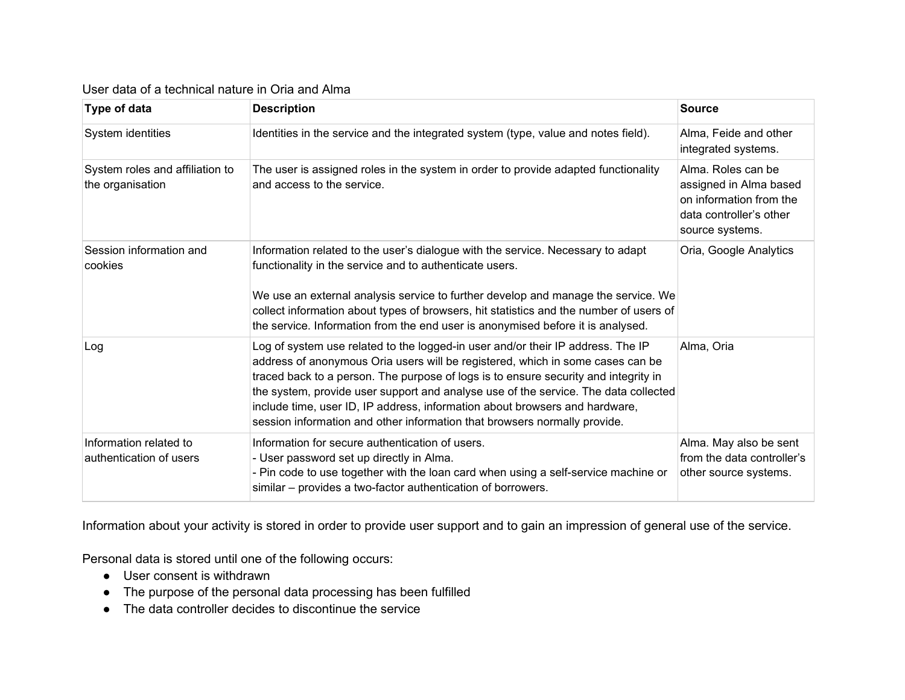#### User data of a technical nature in Oria and Alma

| <b>Type of data</b>                                 | <b>Description</b>                                                                                                                                                                                                                                                                                                                                                                                                                                                                                          | <b>Source</b>                                                                                                         |
|-----------------------------------------------------|-------------------------------------------------------------------------------------------------------------------------------------------------------------------------------------------------------------------------------------------------------------------------------------------------------------------------------------------------------------------------------------------------------------------------------------------------------------------------------------------------------------|-----------------------------------------------------------------------------------------------------------------------|
| System identities                                   | Identities in the service and the integrated system (type, value and notes field).                                                                                                                                                                                                                                                                                                                                                                                                                          | Alma, Feide and other<br>integrated systems.                                                                          |
| System roles and affiliation to<br>the organisation | The user is assigned roles in the system in order to provide adapted functionality<br>and access to the service.                                                                                                                                                                                                                                                                                                                                                                                            | Alma. Roles can be<br>assigned in Alma based<br>on information from the<br>data controller's other<br>source systems. |
| Session information and<br>cookies                  | Information related to the user's dialogue with the service. Necessary to adapt<br>functionality in the service and to authenticate users.<br>We use an external analysis service to further develop and manage the service. We<br>collect information about types of browsers, hit statistics and the number of users of<br>the service. Information from the end user is anonymised before it is analysed.                                                                                                | Oria, Google Analytics                                                                                                |
| Log                                                 | Log of system use related to the logged-in user and/or their IP address. The IP<br>address of anonymous Oria users will be registered, which in some cases can be<br>traced back to a person. The purpose of logs is to ensure security and integrity in<br>the system, provide user support and analyse use of the service. The data collected<br>include time, user ID, IP address, information about browsers and hardware,<br>session information and other information that browsers normally provide. | Alma, Oria                                                                                                            |
| Information related to<br>authentication of users   | Information for secure authentication of users.<br>Alma. May also be sent<br>- User password set up directly in Alma.<br>from the data controller's<br>- Pin code to use together with the loan card when using a self-service machine or<br>other source systems.<br>similar – provides a two-factor authentication of borrowers.                                                                                                                                                                          |                                                                                                                       |

Information about your activity is stored in order to provide user support and to gain an impression of general use of the service.

Personal data is stored until one of the following occurs:

- User consent is withdrawn
- The purpose of the personal data processing has been fulfilled
- The data controller decides to discontinue the service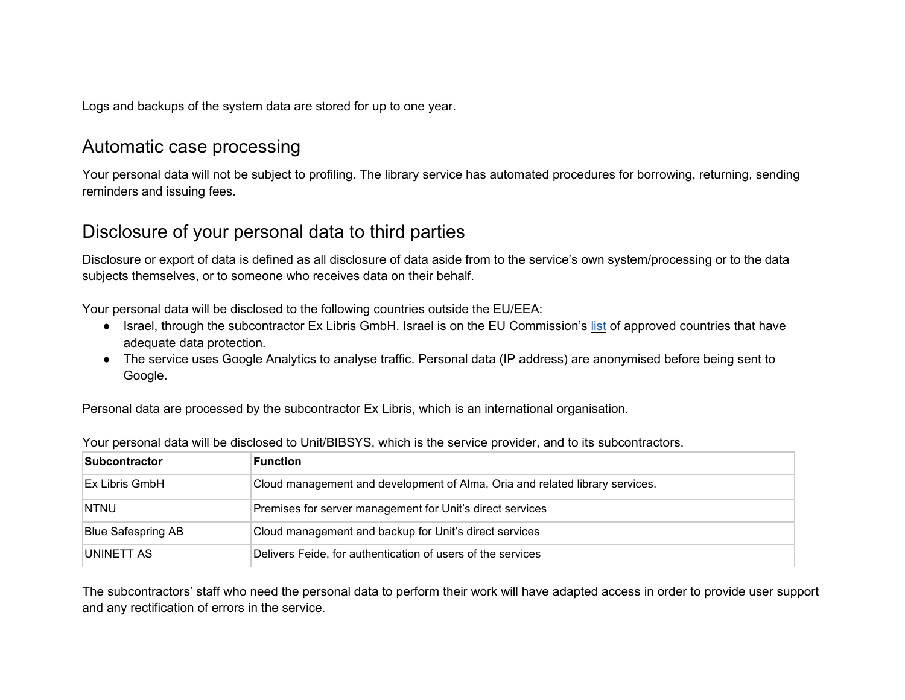<span id="page-5-0"></span>Logs and backups of the system data are stored for up to one year.

## Automatic case processing

Your personal data will not be subject to profiling. The library service has automated procedures for borrowing, returning, sending reminders and issuing fees.

# <span id="page-5-1"></span>Disclosure of your personal data to third parties

Disclosure or export of data is defined as all disclosure of data aside from to the service's own system/processing or to the data subjects themselves, or to someone who receives data on their behalf.

Your personal data will be disclosed to the following countries outside the EU/EEA:

- Israel, through the subcontractor Ex Libris GmbH. Israel is on the EU Commission's [list](https://ec.europa.eu/info/law/law-topic/data-protection/data-transfers-outside-eu/adequacy-protection-personal-data-non-eu-countries_en) of approved countries that have adequate data protection.
- The service uses Google Analytics to analyse traffic. Personal data (IP address) are anonymised before being sent to Google.

Personal data are processed by the subcontractor Ex Libris, which is an international organisation.

| <b>Subcontractor</b>      | <b>Function</b>                                                              |
|---------------------------|------------------------------------------------------------------------------|
| Ex Libris GmbH            | Cloud management and development of Alma, Oria and related library services. |
| <b>NTNU</b>               | Premises for server management for Unit's direct services                    |
| <b>Blue Safespring AB</b> | Cloud management and backup for Unit's direct services                       |
| IUNINETT AS               | Delivers Feide, for authentication of users of the services                  |

Your personal data will be disclosed to Unit/BIBSYS, which is the service provider, and to its subcontractors.

The subcontractors' staff who need the personal data to perform their work will have adapted access in order to provide user support and any rectification of errors in the service.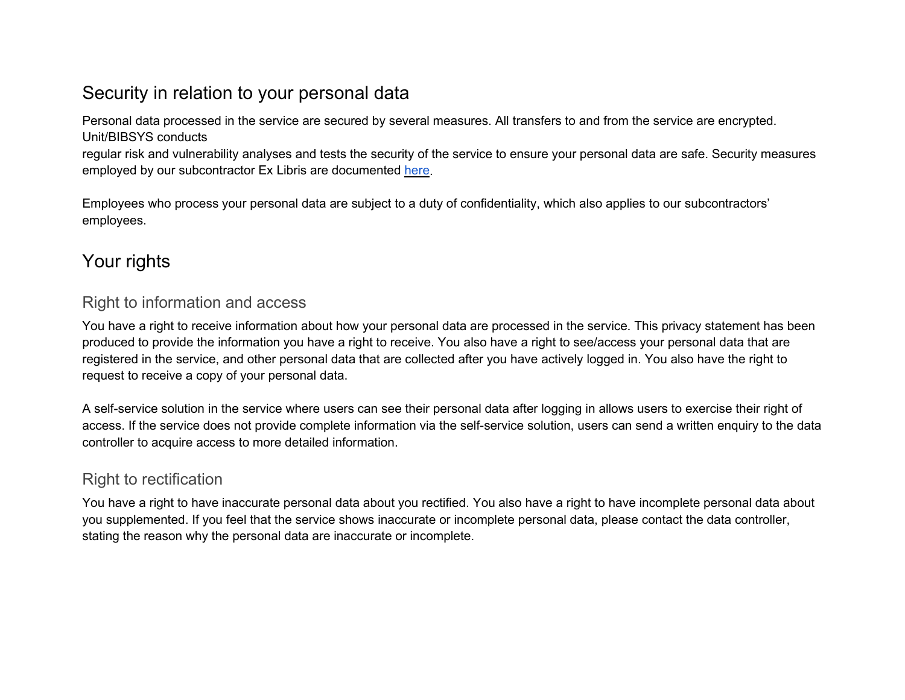# <span id="page-6-0"></span>Security in relation to your personal data

Personal data processed in the service are secured by several measures. All transfers to and from the service are encrypted. Unit/BIBSYS conducts

regular risk and vulnerability analyses and tests the security of the service to ensure your personal data are safe. Security measures employed by our subcontractor Ex Libris are documented [here.](https://knowledge.exlibrisgroup.com/Cross_Product/Security/Policies/Cloud_Security_and__Privacy_Statement)

Employees who process your personal data are subject to a duty of confidentiality, which also applies to our subcontractors' employees.

# <span id="page-6-1"></span>Your rights

#### <span id="page-6-2"></span>Right to information and access

You have a right to receive information about how your personal data are processed in the service. This privacy statement has been produced to provide the information you have a right to receive. You also have a right to see/access your personal data that are registered in the service, and other personal data that are collected after you have actively logged in. You also have the right to request to receive a copy of your personal data.

A self-service solution in the service where users can see their personal data after logging in allows users to exercise their right of access. If the service does not provide complete information via the self-service solution, users can send a written enquiry to the data controller to acquire access to more detailed information.

### <span id="page-6-3"></span>Right to rectification

You have a right to have inaccurate personal data about you rectified. You also have a right to have incomplete personal data about you supplemented. If you feel that the service shows inaccurate or incomplete personal data, please contact the data controller, stating the reason why the personal data are inaccurate or incomplete.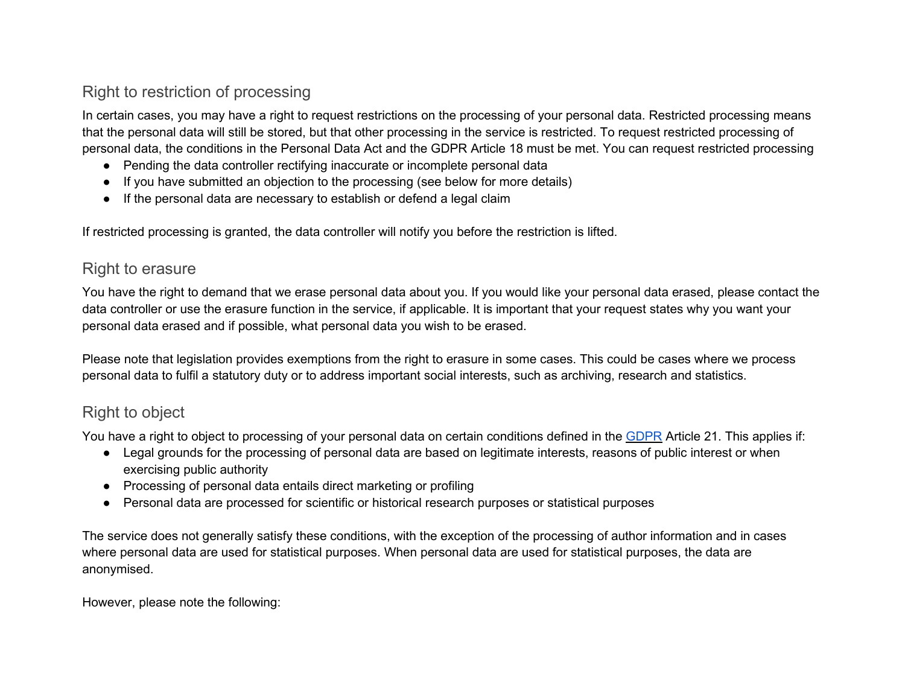## <span id="page-7-0"></span>Right to restriction of processing

In certain cases, you may have a right to request restrictions on the processing of your personal data. Restricted processing means that the personal data will still be stored, but that other processing in the service is restricted. To request restricted processing of personal data, the conditions in the Personal Data Act and the GDPR Article 18 must be met. You can request restricted processing

- Pending the data controller rectifying inaccurate or incomplete personal data
- If you have submitted an objection to the processing (see below for more details)
- If the personal data are necessary to establish or defend a legal claim

<span id="page-7-1"></span>If restricted processing is granted, the data controller will notify you before the restriction is lifted.

#### Right to erasure

You have the right to demand that we erase personal data about you. If you would like your personal data erased, please contact the data controller or use the erasure function in the service, if applicable. It is important that your request states why you want your personal data erased and if possible, what personal data you wish to be erased.

Please note that legislation provides exemptions from the right to erasure in some cases. This could be cases where we process personal data to fulfil a statutory duty or to address important social interests, such as archiving, research and statistics.

## <span id="page-7-2"></span>Right to object

You have a right to object to processing of your personal data on certain conditions defined in the [GDPR](https://lovdata.no/dokument/NL/lov/2018-06-15-38/*%23KAPITTEL_gdpr-3-4) Article 21. This applies if:

- Legal grounds for the processing of personal data are based on legitimate interests, reasons of public interest or when exercising public authority
- Processing of personal data entails direct marketing or profiling
- Personal data are processed for scientific or historical research purposes or statistical purposes

The service does not generally satisfy these conditions, with the exception of the processing of author information and in cases where personal data are used for statistical purposes. When personal data are used for statistical purposes, the data are anonymised.

However, please note the following: